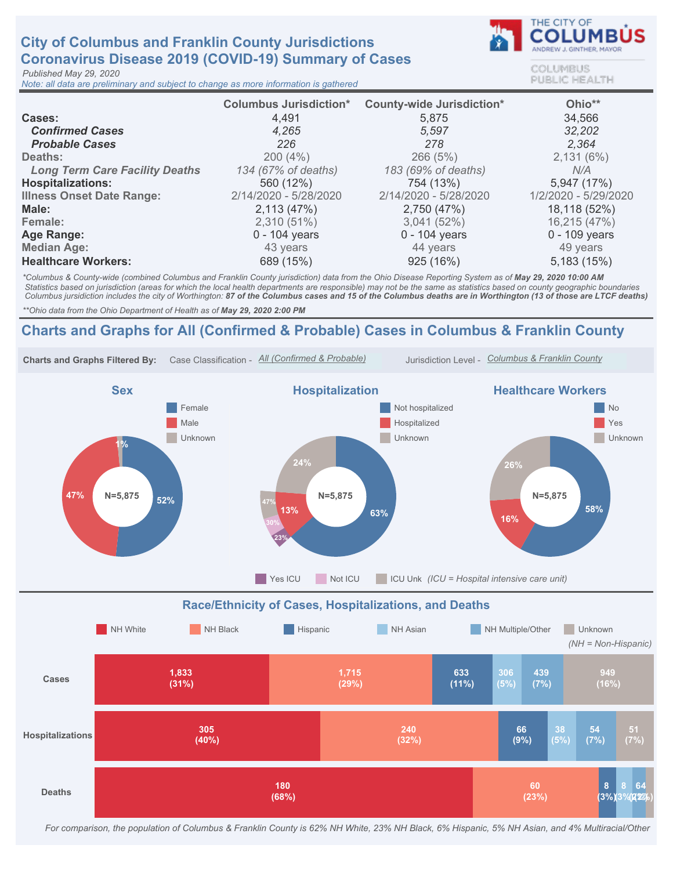## **City of Columbus and Franklin County Jurisdictions** Coronavirus Disease 2019 (COVID-19) Summary of Cases

Published May 29, 2020

Note: all data are preliminary and subject to change as more information is gathered



COLUMBUS **PUBLIC HEALTH** 

|                                       | <b>Columbus Jurisdiction*</b> | <b>County-wide Jurisdiction*</b> | Ohio**               |
|---------------------------------------|-------------------------------|----------------------------------|----------------------|
| Cases:                                | 4,491                         | 5,875                            | 34,566               |
| <b>Confirmed Cases</b>                | 4,265                         | 5,597                            | 32,202               |
| <b>Probable Cases</b>                 | 226                           | 278                              | 2.364                |
| Deaths:                               | 200(4%)                       | 266(5%)                          | 2,131(6%)            |
| <b>Long Term Care Facility Deaths</b> | 134 (67% of deaths)           | 183 (69% of deaths)              | N/A                  |
| <b>Hospitalizations:</b>              | 560 (12%)                     | 754 (13%)                        | 5,947 (17%)          |
| <b>Illness Onset Date Range:</b>      | 2/14/2020 - 5/28/2020         | 2/14/2020 - 5/28/2020            | 1/2/2020 - 5/29/2020 |
| Male:                                 | 2,113(47%)                    | 2,750 (47%)                      | 18,118 (52%)         |
| Female:                               | $2,310(51\%)$                 | 3,041(52%)                       | 16,215 (47%)         |
| Age Range:                            | $0 - 104$ years               | $0 - 104$ years                  | $0 - 109$ years      |
| <b>Median Age:</b>                    | 43 years                      | 44 years                         | 49 years             |
| <b>Healthcare Workers:</b>            | 689 (15%)                     | 925 (16%)                        | 5,183 (15%)          |

\*Columbus & County-wide (combined Columbus and Franklin County jurisdiction) data from the Ohio Disease Reporting System as of May 29, 2020 10:00 AM Statistics based on jurisdiction (areas for which the local health departments are responsible) may not be the same as statistics based on county geographic boundaries Columbus jursidiction includes the city of Worthington: 87 of the Columbus cases and 15 of the Columbus deaths are in Worthington (13 of those are LTCF deaths)

\*\* Ohio data from the Ohio Department of Health as of May 29, 2020 2:00 PM

## Charts and Graphs for All (Confirmed & Probable) Cases in Columbus & Franklin County



For comparison, the population of Columbus & Franklin County is 62% NH White, 23% NH Black, 6% Hispanic, 5% NH Asian, and 4% Multiracial/Other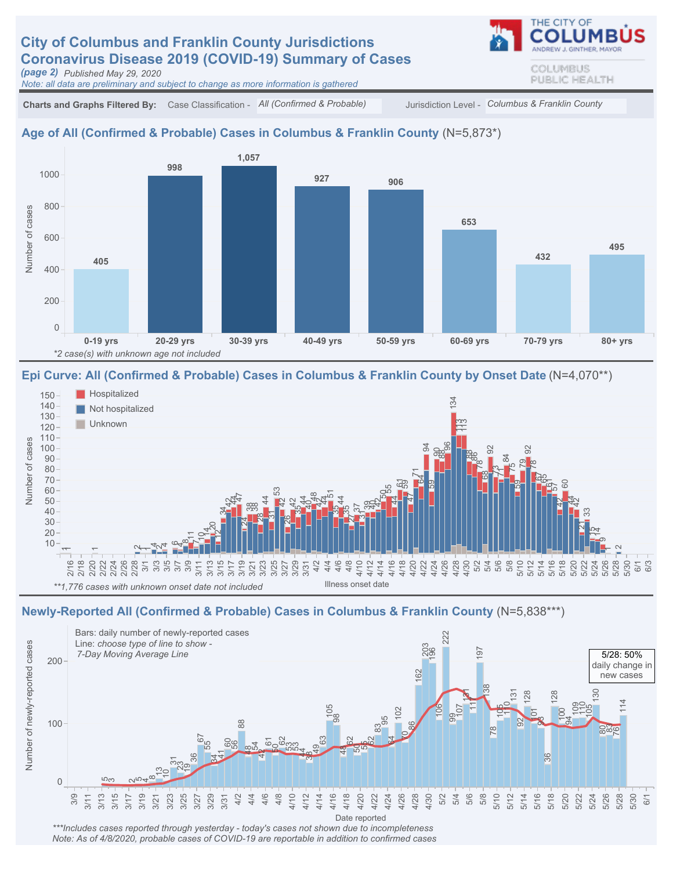# **City of Columbus and Franklin County Jurisdictions** Coronavirus Disease 2019 (COVID-19) Summary of Cases

(page 2) Published May 29, 2020

Note: all data are preliminary and subject to change as more information is gathered



#### Age of All (Confirmed & Probable) Cases in Columbus & Franklin County (N=5,873\*)



#### Epi Curve: All (Confirmed & Probable) Cases in Columbus & Franklin County by Onset Date (N=4,070\*\*)



#### Newly-Reported All (Confirmed & Probable) Cases in Columbus & Franklin County (N=5,838\*\*\*)



\*\*\*Includes cases reported through yesterday - today's cases not shown due to incompleteness Note: As of 4/8/2020, probable cases of COVID-19 are reportable in addition to confirmed cases COLUMBUS PUBLIC HEALTH

THE CITY OF